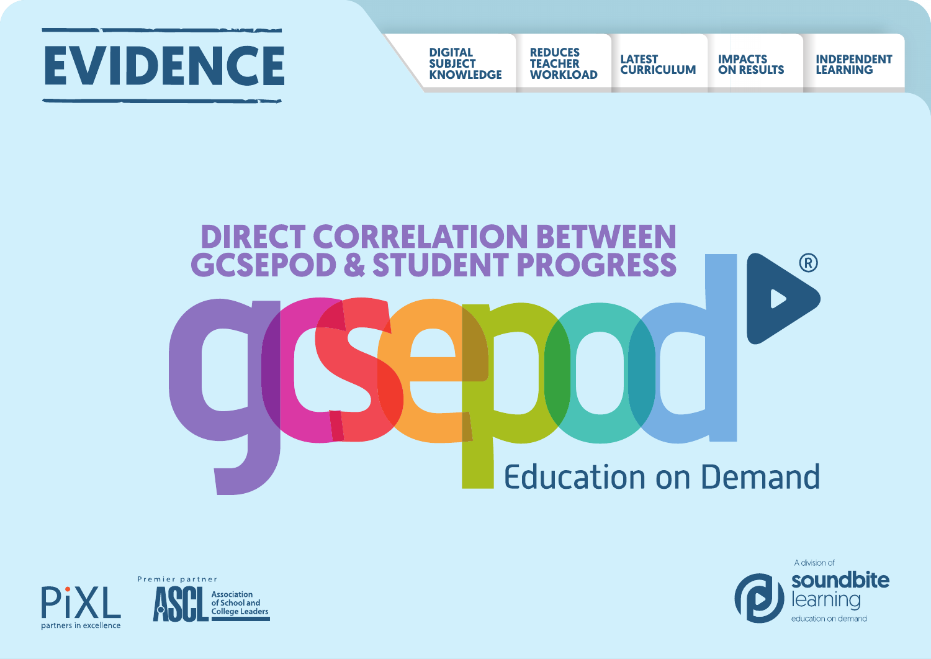

**DIGITAL SUBJECT KNOWLEDGE REDUCES TEACHER WORKLOAD** 

**LATEST CURRICULUM**

**IMPACTS ON RESULTS**

**INDEPENDENT LEARNING**







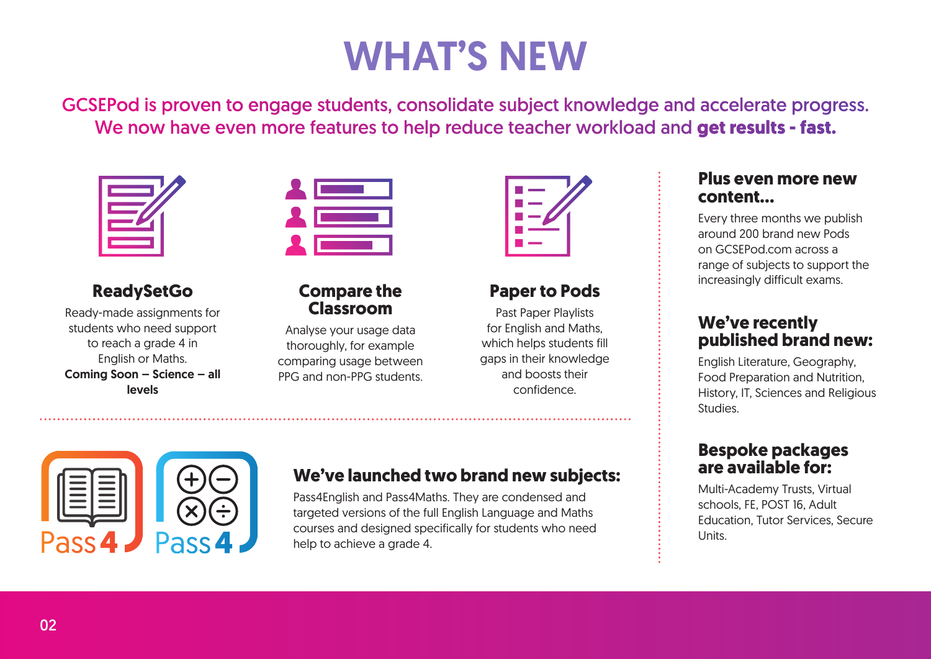## WHAT'S NEW

GCSEPod is proven to engage students, consolidate subject knowledge and accelerate progress. We now have even more features to help reduce teacher workload and **get results - fast.**



#### **ReadySetGo**

Ready-made assignments for students who need support to reach a grade 4 in English or Maths. Coming Soon – Science – all levels

#### **Compare the Classroom**

Analyse your usage data thoroughly, for example comparing usage between PPG and non-PPG students.



### **Paper to Pods**

Past Paper Playlists for English and Maths, which helps students fill gaps in their knowledge and boosts their confidence.

#### **Plus even more new content...**

Every three months we publish around 200 brand new Pods on GCSEPod.com across a range of subjects to support the increasingly difficult exams.

### **We've recently published brand new:**

English Literature, Geography, Food Preparation and Nutrition, History, IT, Sciences and Religious Studies.

#### **Bespoke packages are available for:**

Multi-Academy Trusts, Virtual schools, FE, POST 16, Adult Education, Tutor Services, Secure Units.



### **We've launched two brand new subjects:**

Pass4English and Pass4Maths. They are condensed and targeted versions of the full English Language and Maths courses and designed specifically for students who need help to achieve a grade 4.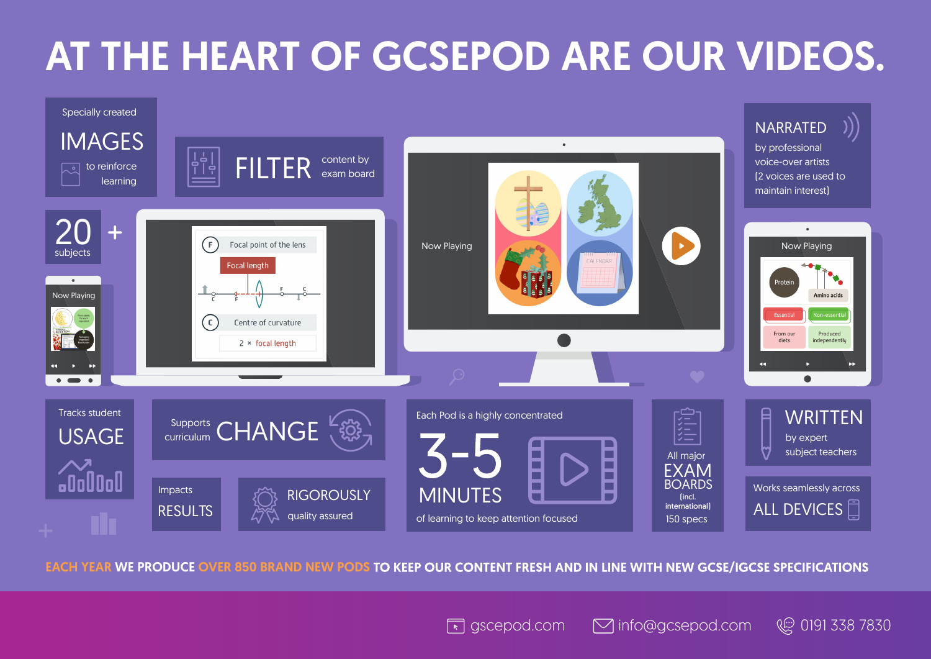# AT THE HEART OF GCSEPOD ARE OUR VIDEOS.



EACH YEAR WE PRODUCE OVER 850 BRAND NEW PODS TO KEEP OUR CONTENT FRESH AND IN LINE WITH NEW GCSE/IGCSE SPECIFICATIONS

 $\lceil \cdot \rceil$  gscepod.com  $\lceil \cdot \rceil$  info@gcsepod.com  $\lceil \cdot \rceil$  0191 338 7830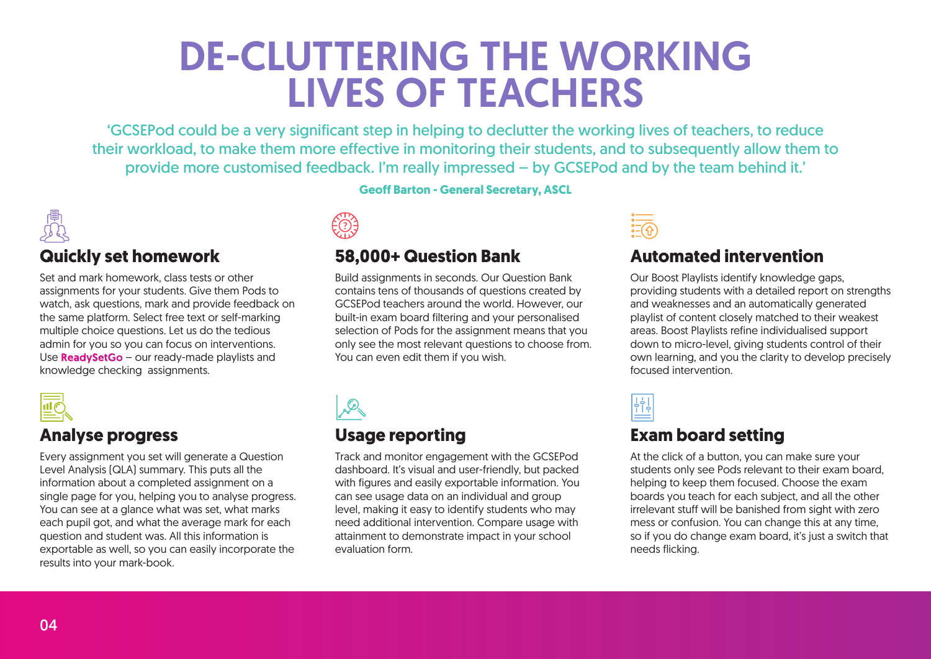### DE-CLUTTERING THE WORKING LIVES OF TEACHERS

'GCSEPod could be a very significant step in helping to declutter the working lives of teachers, to reduce their workload, to make them more effective in monitoring their students, and to subsequently allow them to provide more customised feedback. I'm really impressed – by GCSEPod and by the team behind it.'



#### **Quickly set homework**

Set and mark homework, class tests or other assignments for your students. Give them Pods to watch, ask questions, mark and provide feedback on the same platform. Select free text or self-marking multiple choice questions. Let us do the tedious admin for you so you can focus on interventions. Use ReadySetGo – our ready-made playlists and knowledge checking assignments.



#### **Analyse progress**

Every assignment you set will generate a Question Level Analysis (QLA) summary. This puts all the information about a completed assignment on a single page for you, helping you to analyse progress. You can see at a glance what was set, what marks each pupil got, and what the average mark for each question and student was. All this information is exportable as well, so you can easily incorporate the results into your mark-book.

**Geoff Barton - General Secretary, ASCL**



#### **58,000+ Question Bank**

Build assignments in seconds. Our Question Bank contains tens of thousands of questions created by GCSEPod teachers around the world. However, our built-in exam board filtering and your personalised selection of Pods for the assignment means that you only see the most relevant questions to choose from. You can even edit them if you wish.



#### **Usage reporting**

Track and monitor engagement with the GCSEPod dashboard. It's visual and user-friendly, but packed with figures and easily exportable information. You can see usage data on an individual and group level, making it easy to identify students who may need additional intervention. Compare usage with attainment to demonstrate impact in your school evaluation form.



#### **Automated intervention**

Our Boost Playlists identify knowledge gaps, providing students with a detailed report on strengths and weaknesses and an automatically generated playlist of content closely matched to their weakest areas. Boost Playlists refine individualised support down to micro-level, giving students control of their own learning, and you the clarity to develop precisely focused intervention.



#### **Exam board setting**

At the click of a button, you can make sure your students only see Pods relevant to their exam board, helping to keep them focused. Choose the exam boards you teach for each subject, and all the other irrelevant stuff will be banished from sight with zero mess or confusion. You can change this at any time, so if you do change exam board, it's just a switch that needs flicking.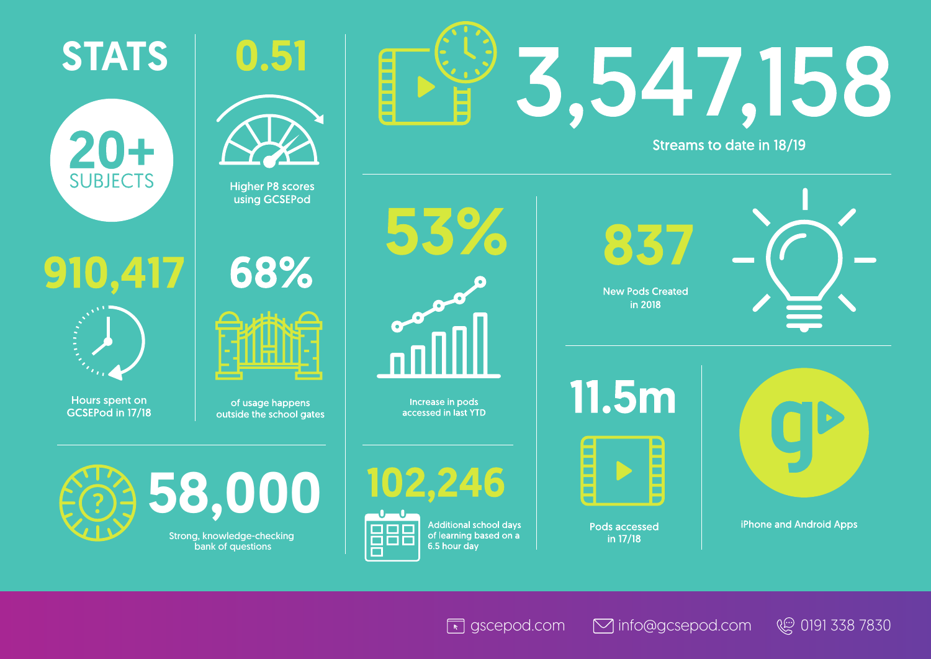





**Higher P8 scores** using GCSEPod

910,417



Hours spent on GCSEPod in 17/18



of usage happens outside the school gates



Streams to date in 18/19



58,000 Strong, knowledge-checking

**bank of questions** 



000

**Additional school days** of learning based on a 6.5 hour day

Increase in pods

 $\lceil \cdot \rceil$  gscepod.com  $\lceil \cdot \rceil$  info@gcsepod.com  $\lceil \cdot \rceil$  0191 338 7830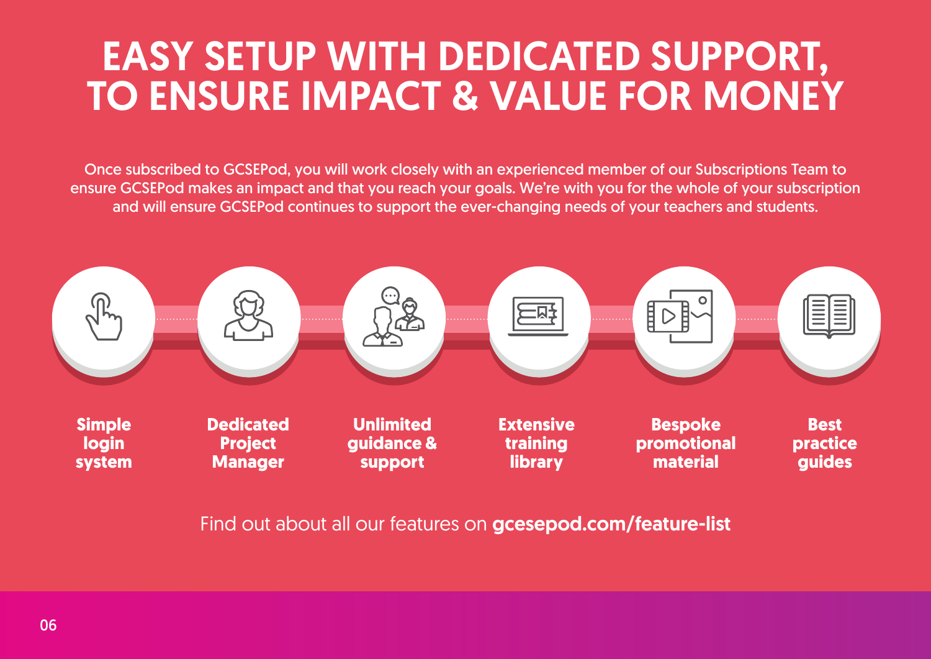## EASY SETUP WITH DEDICATED SUPPORT, TO ENSURE IMPACT & VALUE FOR MONEY

Once subscribed to GCSEPod, you will work closely with an experienced member of our Subscriptions Team to ensure GCSEPod makes an impact and that you reach your goals. We're with you for the whole of your subscription and will ensure GCSEPod continues to support the ever-changing needs of your teachers and students.



### Find out about all our features on gcesepod.com/feature-list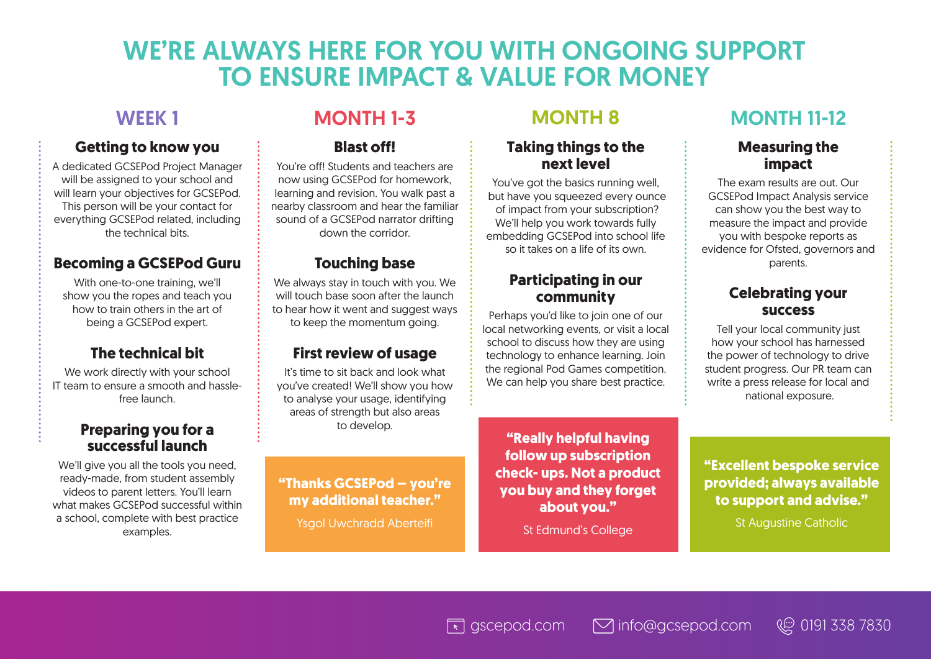### WE'RE ALWAYS HERE FOR YOU WITH ONGOING SUPPORT TO ENSURE IMPACT & VALUE FOR MONEY

#### **Getting to know you**

A dedicated GCSEPod Project Manager will be assigned to your school and will learn your objectives for GCSEPod. This person will be your contact for everything GCSEPod related, including the technical bits.

#### **Becoming a GCSEPod Guru**

With one-to-one training, we'll show you the ropes and teach you how to train others in the art of being a GCSEPod expert.

#### **The technical bit**

We work directly with your school IT team to ensure a smooth and hasslefree launch.

#### **Preparing you for a successful launch**

We'll give you all the tools you need. ready-made, from student assembly videos to parent letters. You'll learn what makes GCSEPod successful within a school, complete with best practice examples.

**Blast off!**

You're off! Students and teachers are now using GCSEPod for homework, learning and revision. You walk past a nearby classroom and hear the familiar sound of a GCSEPod narrator drifting down the corridor.

#### **Touching base**

We always stay in touch with you. We will touch base soon after the launch to hear how it went and suggest ways to keep the momentum going.

#### **First review of usage**

It's time to sit back and look what you've created! We'll show you how to analyse your usage, identifying areas of strength but also areas to develop.

**"Thanks GCSEPod – you're my additional teacher."** 

Ysgol Uwchradd Aberteifi

#### **Taking things to the next level**

You've got the basics running well. but have you squeezed every ounce of impact from your subscription? We'll help you work towards fully embedding GCSEPod into school life so it takes on a life of its own.

#### **Participating in our community**

Perhaps you'd like to join one of our local networking events, or visit a local school to discuss how they are using technology to enhance learning. Join the regional Pod Games competition. We can help you share best practice.

**"Really helpful having follow up subscription check- ups. Not a product you buy and they forget about you."**

St Edmund's College

### WEEK 1 MONTH 1-3 MONTH 8 MONTH 11-12

#### **Measuring the impact**

The exam results are out. Our GCSEPod Impact Analysis service can show you the best way to measure the impact and provide you with bespoke reports as evidence for Ofsted, governors and parents.

#### **Celebrating your success**

Tell your local community just how your school has harnessed the power of technology to drive student progress. Our PR team can write a press release for local and national exposure.

**"Excellent bespoke service provided; always available to support and advise."**

St Augustine Catholic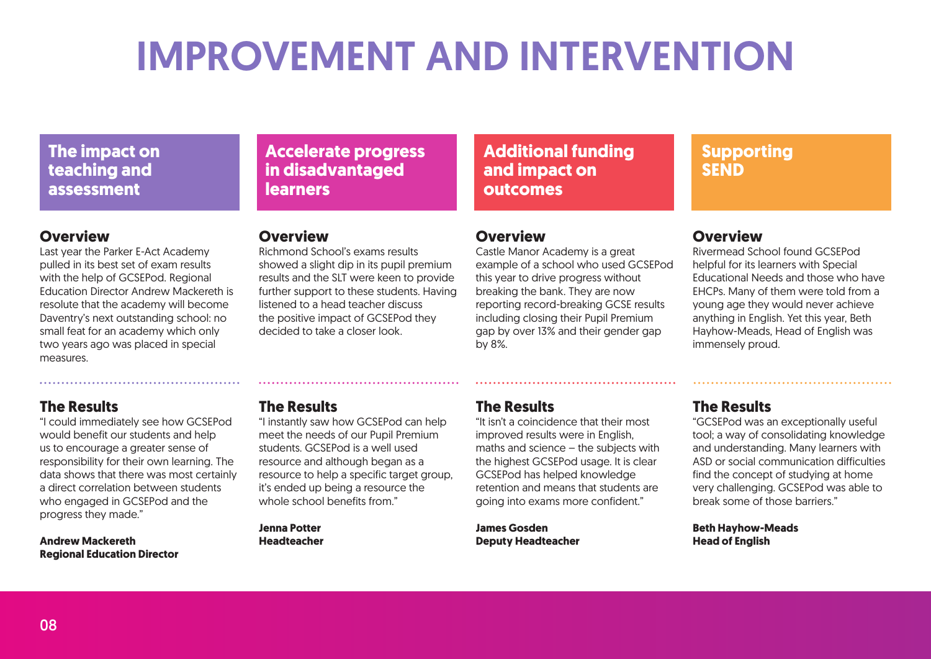# IMPROVEMENT AND INTERVENTION

#### **The impact on teaching and assessment**

#### **Accelerate progress in disadvantaged learners**

#### **Additional funding and impact on outcomes**

#### **Supporting SEND**

#### **Overview**

Last year the Parker E-Act Academy pulled in its best set of exam results with the help of GCSEPod. Regional Education Director Andrew Mackereth is resolute that the academy will become Daventry's next outstanding school: no small feat for an academy which only two years ago was placed in special measures.

#### **Overview**

Richmond School's exams results showed a slight dip in its pupil premium results and the SLT were keen to provide further support to these students. Having listened to a head teacher discuss the positive impact of GCSEPod they decided to take a closer look.

#### **Overview**

Castle Manor Academy is a great example of a school who used GCSEPod this year to drive progress without breaking the bank. They are now reporting record-breaking GCSE results including closing their Pupil Premium gap by over 13% and their gender gap by 8%.

#### **Overview**

Rivermead School found GCSEPod helpful for its learners with Special Educational Needs and those who have EHCPs. Many of them were told from a young age they would never achieve anything in English. Yet this year, Beth Hayhow-Meads, Head of English was immensely proud.

#### **The Results**

"I could immediately see how GCSEPod would benefit our students and help us to encourage a greater sense of responsibility for their own learning. The data shows that there was most certainly a direct correlation between students who engaged in GCSEPod and the progress they made."

**Andrew Mackereth Regional Education Director**

#### **The Results**

"I instantly saw how GCSEPod can help meet the needs of our Pupil Premium students. GCSEPod is a well used resource and although began as a resource to help a specific target group, it's ended up being a resource the whole school benefits from "

**Jenna Potter Headteacher**

#### **The Results**

"It isn't a coincidence that their most improved results were in English, maths and science – the subjects with the highest GCSEPod usage. It is clear GCSEPod has helped knowledge retention and means that students are going into exams more confident."

**James Gosden Deputy Headteacher**

#### **The Results**

"GCSEPod was an exceptionally useful tool; a way of consolidating knowledge and understanding. Many learners with ASD or social communication difficulties find the concept of studying at home very challenging. GCSEPod was able to break some of those barriers."

**Beth Hayhow-Meads Head of English**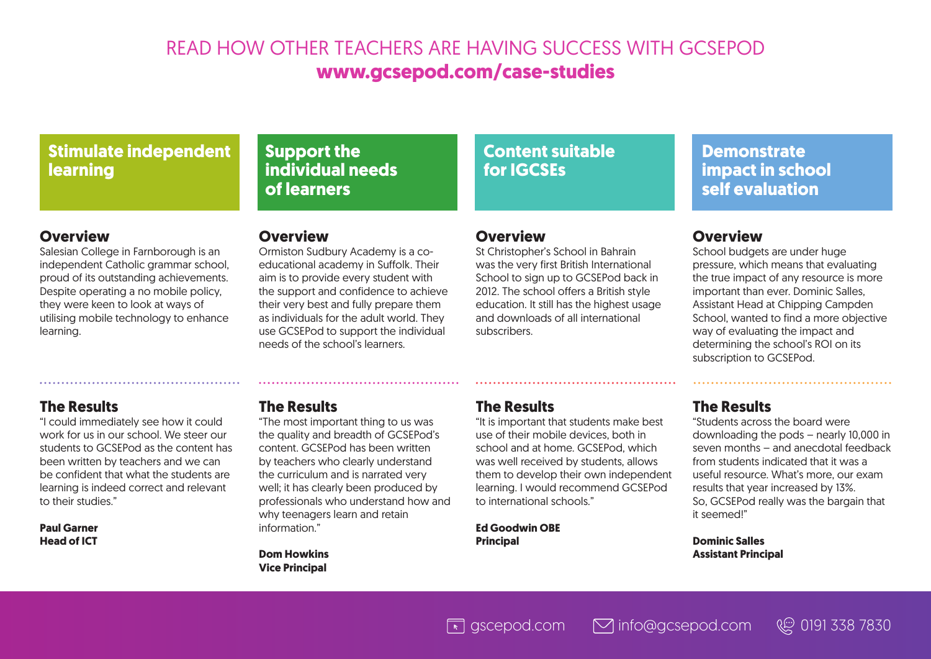### READ HOW OTHER TEACHERS ARE HAVING SUCCESS WITH GCSEPOD **www.gcsepod.com/case-studies**

#### **Stimulate independent learning**

#### **Support the individual needs of learners**

#### **Content suitable for IGCSEs**

St Christopher's School in Bahrain was the very first British International School to sign up to GCSEPod back in 2012. The school offers a British style education. It still has the highest usage and downloads of all international

#### **Demonstrate impact in school self evaluation**

#### **Overview**

School budgets are under huge pressure, which means that evaluating the true impact of any resource is more important than ever. Dominic Salles, Assistant Head at Chipping Campden School, wanted to find a more objective way of evaluating the impact and determining the school's ROI on its subscription to GCSEPod.

#### **Overview** Salesian College in Farnborough is an

independent Catholic grammar school, proud of its outstanding achievements. Despite operating a no mobile policy, they were keen to look at ways of utilising mobile technology to enhance learning.

#### **Overview**

Ormiston Sudbury Academy is a coeducational academy in Suffolk. Their aim is to provide every student with the support and confidence to achieve their very best and fully prepare them as individuals for the adult world. They use GCSEPod to support the individual needs of the school's learners.

#### **The Results**

"I could immediately see how it could work for us in our school. We steer our students to GCSEPod as the content has been written by teachers and we can be confident that what the students are learning is indeed correct and relevant to their studies."

**Paul Garner Head of ICT**

#### **The Results**

"The most important thing to us was the quality and breadth of GCSEPod's content. GCSEPod has been written by teachers who clearly understand the curriculum and is narrated very well; it has clearly been produced by professionals who understand how and why teenagers learn and retain information."

**Dom Howkins Vice Principal**

#### **The Results**

**Overview**

subscribers.

"It is important that students make best use of their mobile devices, both in school and at home. GCSEPod, which was well received by students, allows them to develop their own independent learning. I would recommend GCSEPod to international schools."

**Ed Goodwin OBE Principal**

#### **The Results**

"Students across the board were downloading the pods – nearly 10,000 in seven months – and anecdotal feedback from students indicated that it was a useful resource. What's more, our exam results that year increased by 13%. So, GCSEPod really was the bargain that it seemed!"

**Dominic Salles Assistant Principal**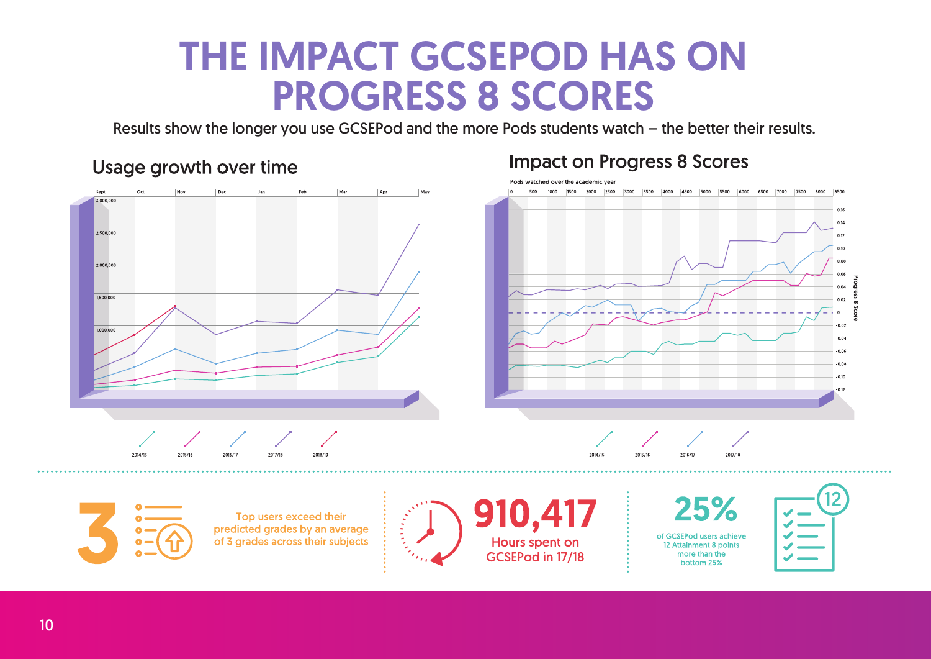### THE IMPACT GCSEPOD HAS ON PROGRESS 8 SCORES

Results show the longer you use GCSEPod and the more Pods students watch – the better their results.

**Impact on Progress 8 Scores** 

### Usage growth over time

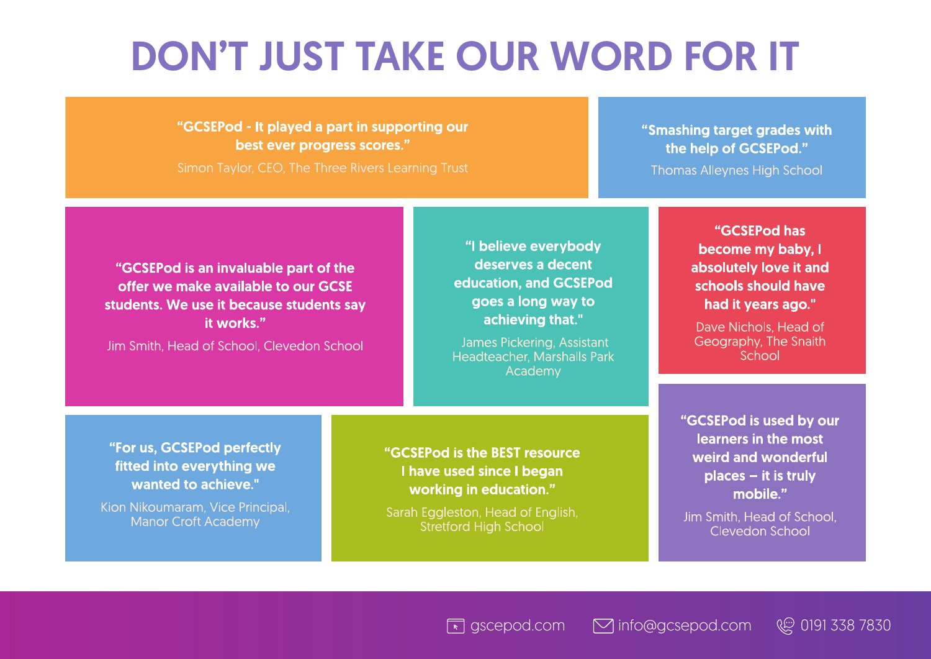## DON'T JUST TAKE OUR WORD FOR IT

"GCSEPod - It played a part in supporting our best ever progress scores."

"Smashing target grades with the help of GCSEPod."

**Thomas Allevnes High School** 

"GCSEPod is an invaluable part of the offer we make available to our GCSE students. We use it because students say it works."

Jim Smith, Head of School, Clevedon School

"I believe everybody deserves a decent education, and GCSEPod goes a long way to achieving that."

James Pickering, Assistant **Headteacher, Marshalls Park** Academy

"GCSEPod has become my baby. I absolutely love it and schools should have had it years ago."

Dave Nichols, Head of Geography, The Snaith School

"For us, GCSEPod perfectly fitted into everything we wanted to achieve."

Kion Nikoumaram, Vice Principal, **Manor Croft Academy** 

"GCSEPod is the BEST resource I have used since I began working in education."

Sarah Eggleston, Head of English, **Stretford High School** 

"GCSEPod is used by our learners in the most weird and wonderful  $places - it$  is truly mobile."

Jim Smith, Head of School, Clevedon School

T gscepod.com Minfo@gcsepod.com (₩ 0191 338 7830